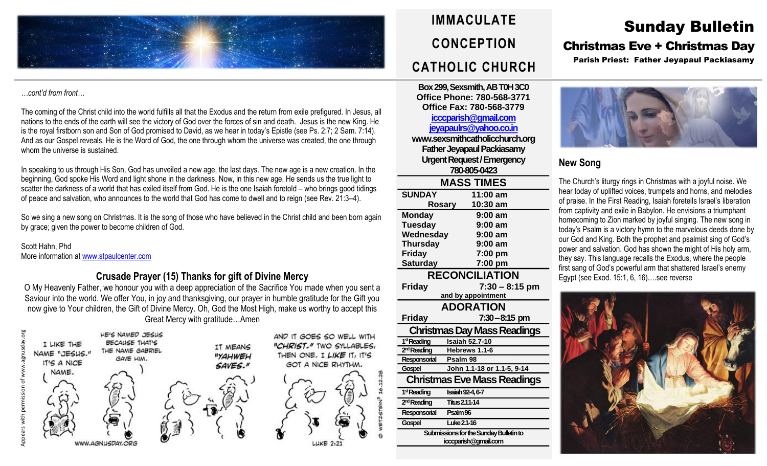

#### *…cont'd from front…*

The coming of the Christ child into the world fulfills all that the Exodus and the return from exile prefigured. In Jesus, all nations to the ends of the earth will see the victory of God over the forces of sin and death. Jesus is the new King. He is the royal firstborn son and Son of God promised to David, as we hear in today's Epistle (see Ps. 2:7; 2 Sam. 7:14). And as our Gospel reveals, He is the Word of God, the one through whom the universe was created, the one through whom the universe is sustained.

In speaking to us through His Son, God has unveiled a new age, the last days. The new age is a new creation. In the beginning, God spoke His Word and light shone in the darkness. Now, in this new age, He sends us the true light to scatter the darkness of a world that has exiled itself from God. He is the one Isaiah foretold – who brings good tidings of peace and salvation, who announces to the world that God has come to dwell and to reign (see Rev. 21:3–4).

So we sing a new song on Christmas. It is the song of those who have believed in the Christ child and been born again by grace; given the power to become children of God.

Scott Hahn, Phd More information at [www.stpaulcenter.com](http://www.stpaulcenter.com/)

### **Crusade Prayer (15) Thanks for gift of Divine Mercy**

O My Heavenly Father, we honour you with a deep appreciation of the Sacrifice You made when you sent a Saviour into the world. We offer You, in joy and thanksgiving, our prayer in humble gratitude for the Gift you now give to Your children, the Gift of Divine Mercy. Oh, God the Most High, make us worthy to accept this Great Mercy with gratitude…Amen





**Box 299, Sexsmith, AB T0H 3C0 Office Phone: 780-568-3771 Office Fax: 780-568-3779**

### **[icccparish@gmail.com](mailto:icccparish@gmail.com) [jeyapaulrs@yahoo.co.in](mailto:jeyapaulrs@yahoo.co.in)**

**www.sexsmithcatholicchurch.org Father Jeyapaul Packiasamy Urgent Request/Emergency 780-805-0423 MASS TIMES SUNDAY 11:00 am Rosary 10:30 am Monday 9:00 am Tuesday 9:00 am Wednesday 9:00 am Thursday 9:00 am Friday 7:00 pm Saturday 7:00 pm RECONCILIATION Friday 7:30 – 8:15 pm**

**and by appointment ADORATION Friday 7:30–8:15 pm Christmas DayMass Readings** 1<sup>st</sup> Reading **Isaiah 52.7-10** 2<sup>rd</sup> Reading **hReading Hebrews** 1.1-6 **Responsorial Psalm 98 Gospel John 1.1-18 or 1.1-5, 9-14 Christmas Eve Mass Readings** 1<sup>st</sup> Reading **stReading Isaiah 92-4, 6-7** 2<sup>nd</sup> Reading **ndReading Titus 2.11-14 Responsorial Psalm 96 Gospel Luke 2.1-16 Submissions for the Sunday Bulletinto icccparish@gmail.com**

# Sunday Bulletin

# Christmas Eve + Christmas Day

Parish Priest: Father Jeyapaul Packiasamy



## **New Song**

The Church's liturgy rings in Christmas with a joyful noise. We hear today of uplifted voices, trumpets and horns, and melodies of praise. In the First Reading, Isaiah foretells Israel's liberation from captivity and exile in Babylon. He envisions a triumphant homecoming to Zion marked by joyful singing. The new song in today's Psalm is a victory hymn to the marvelous deeds done by our God and King. Both the prophet and psalmist sing of God's power and salvation. God has shown the might of His holy arm, they say. This language recalls the Exodus, where the people first sang of God's powerful arm that shattered Israel's enemy Egypt (see Exod. 15:1, 6, 16)….see reverse